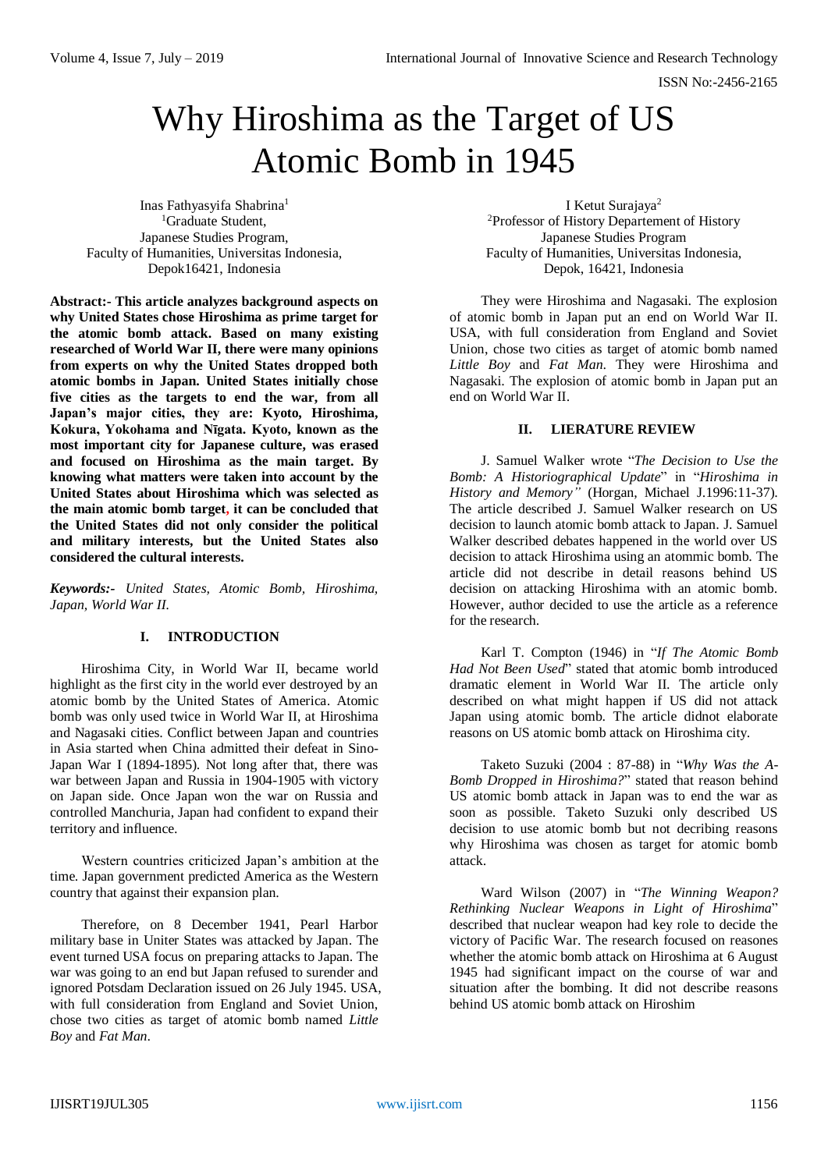# Why Hiroshima as the Target of US Atomic Bomb in 1945

Inas Fathyasyifa Shabrina<sup>1</sup> <sup>1</sup>Graduate Student, Japanese Studies Program, Faculty of Humanities, Universitas Indonesia, Depok16421, Indonesia

I Ketut Surajaya<sup>2</sup> <sup>2</sup>Professor of History Departement of History Japanese Studies Program Faculty of Humanities, Universitas Indonesia, Depok, 16421, Indonesia

**Abstract:- This article analyzes background aspects on why United States chose Hiroshima as prime target for the atomic bomb attack. Based on many existing researched of World War II, there were many opinions from experts on why the United States dropped both atomic bombs in Japan. United States initially chose five cities as the targets to end the war, from all Japan's major cities, they are: Kyoto, Hiroshima, Kokura, Yokohama and Nīgata. Kyoto, known as the most important city for Japanese culture, was erased and focused on Hiroshima as the main target. By knowing what matters were taken into account by the United States about Hiroshima which was selected as the main atomic bomb target, it can be concluded that the United States did not only consider the political and military interests, but the United States also considered the cultural interests.**

*Keywords:- United States, Atomic Bomb, Hiroshima, Japan, World War II.*

# **I. INTRODUCTION**

Hiroshima City, in World War II, became world highlight as the first city in the world ever destroyed by an atomic bomb by the United States of America. Atomic bomb was only used twice in World War II, at Hiroshima and Nagasaki cities. Conflict between Japan and countries in Asia started when China admitted their defeat in Sino-Japan War I (1894-1895). Not long after that, there was war between Japan and Russia in 1904-1905 with victory on Japan side. Once Japan won the war on Russia and controlled Manchuria, Japan had confident to expand their territory and influence.

Western countries criticized Japan's ambition at the time. Japan government predicted America as the Western country that against their expansion plan.

Therefore, on 8 December 1941, Pearl Harbor military base in Uniter States was attacked by Japan. The event turned USA focus on preparing attacks to Japan. The war was going to an end but Japan refused to surender and ignored Potsdam Declaration issued on 26 July 1945. USA, with full consideration from England and Soviet Union, chose two cities as target of atomic bomb named *Little Boy* and *Fat Man*.

They were Hiroshima and Nagasaki. The explosion of atomic bomb in Japan put an end on World War II. USA, with full consideration from England and Soviet Union, chose two cities as target of atomic bomb named *Little Boy* and *Fat Man*. They were Hiroshima and Nagasaki. The explosion of atomic bomb in Japan put an end on World War II.

# **II. LIERATURE REVIEW**

J. Samuel Walker wrote "*The Decision to Use the Bomb: A Historiographical Update*" in "*Hiroshima in History and Memory"* (Horgan, Michael J.1996:11-37). The article described J. Samuel Walker research on US decision to launch atomic bomb attack to Japan. J. Samuel Walker described debates happened in the world over US decision to attack Hiroshima using an atommic bomb. The article did not describe in detail reasons behind US decision on attacking Hiroshima with an atomic bomb. However, author decided to use the article as a reference for the research.

Karl T. Compton (1946) in "*If The Atomic Bomb Had Not Been Used*" stated that atomic bomb introduced dramatic element in World War II. The article only described on what might happen if US did not attack Japan using atomic bomb. The article didnot elaborate reasons on US atomic bomb attack on Hiroshima city.

Taketo Suzuki (2004 : 87-88) in "*Why Was the A-Bomb Dropped in Hiroshima?*" stated that reason behind US atomic bomb attack in Japan was to end the war as soon as possible. Taketo Suzuki only described US decision to use atomic bomb but not decribing reasons why Hiroshima was chosen as target for atomic bomb attack.

Ward Wilson (2007) in "*The Winning Weapon? Rethinking Nuclear Weapons in Light of Hiroshima*" described that nuclear weapon had key role to decide the victory of Pacific War. The research focused on reasones whether the atomic bomb attack on Hiroshima at 6 August 1945 had significant impact on the course of war and situation after the bombing. It did not describe reasons behind US atomic bomb attack on Hiroshim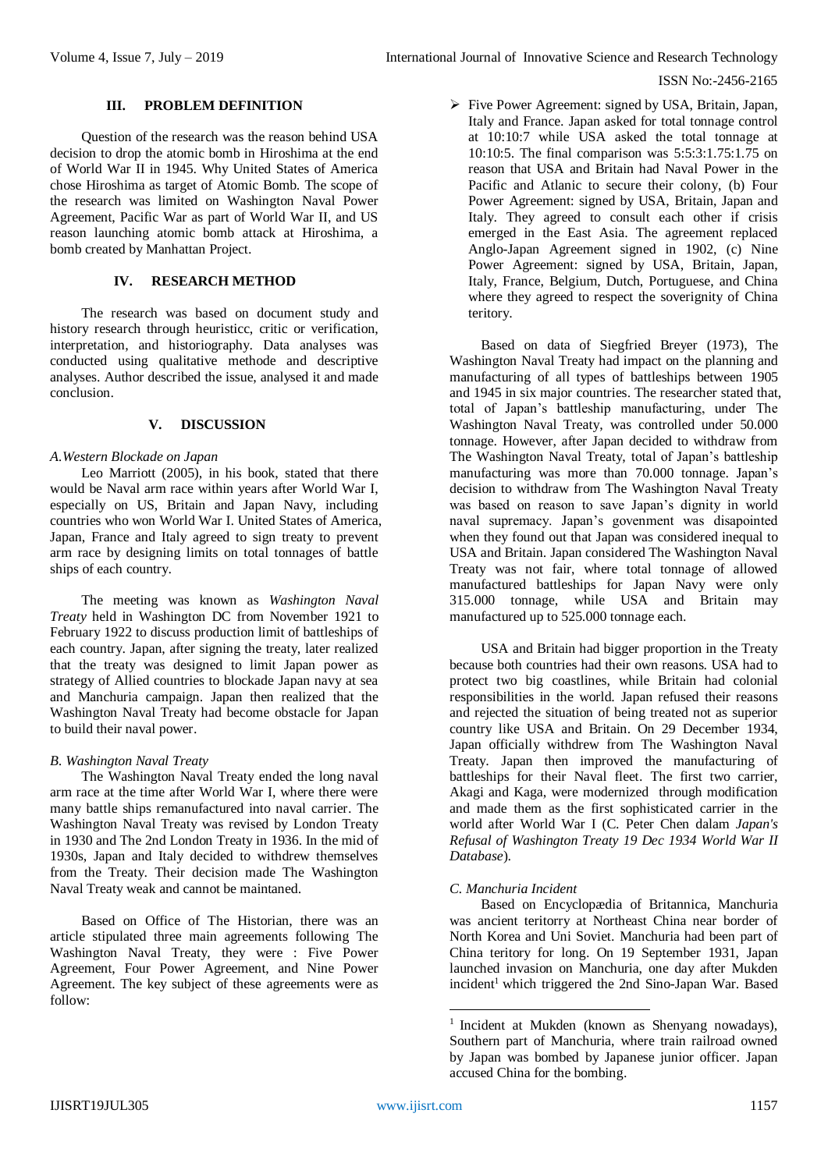# **III. PROBLEM DEFINITION**

Question of the research was the reason behind USA decision to drop the atomic bomb in Hiroshima at the end of World War II in 1945. Why United States of America chose Hiroshima as target of Atomic Bomb. The scope of the research was limited on Washington Naval Power Agreement, Pacific War as part of World War II, and US reason launching atomic bomb attack at Hiroshima, a bomb created by Manhattan Project.

## **IV. RESEARCH METHOD**

The research was based on document study and history research through heuristicc, critic or verification, interpretation, and historiography. Data analyses was conducted using qualitative methode and descriptive analyses. Author described the issue, analysed it and made conclusion.

## **V. DISCUSSION**

#### *A.Western Blockade on Japan*

Leo Marriott (2005), in his book, stated that there would be Naval arm race within years after World War I, especially on US, Britain and Japan Navy, including countries who won World War I. United States of America, Japan, France and Italy agreed to sign treaty to prevent arm race by designing limits on total tonnages of battle ships of each country.

The meeting was known as *Washington Naval Treaty* held in Washington DC from November 1921 to February 1922 to discuss production limit of battleships of each country. Japan, after signing the treaty, later realized that the treaty was designed to limit Japan power as strategy of Allied countries to blockade Japan navy at sea and Manchuria campaign. Japan then realized that the Washington Naval Treaty had become obstacle for Japan to build their naval power.

# *B. Washington Naval Treaty*

The Washington Naval Treaty ended the long naval arm race at the time after World War I, where there were many battle ships remanufactured into naval carrier. The Washington Naval Treaty was revised by London Treaty in 1930 and The 2nd London Treaty in 1936. In the mid of 1930s, Japan and Italy decided to withdrew themselves from the Treaty. Their decision made The Washington Naval Treaty weak and cannot be maintaned.

Based on Office of The Historian, there was an article stipulated three main agreements following The Washington Naval Treaty, they were : Five Power Agreement, Four Power Agreement, and Nine Power Agreement. The key subject of these agreements were as follow:

 $\triangleright$  Five Power Agreement: signed by USA, Britain, Japan, Italy and France. Japan asked for total tonnage control at 10:10:7 while USA asked the total tonnage at 10:10:5. The final comparison was 5:5:3:1.75:1.75 on reason that USA and Britain had Naval Power in the Pacific and Atlanic to secure their colony, (b) Four Power Agreement: signed by USA, Britain, Japan and Italy. They agreed to consult each other if crisis emerged in the East Asia. The agreement replaced Anglo-Japan Agreement signed in 1902, (c) Nine Power Agreement: signed by USA, Britain, Japan, Italy, France, Belgium, Dutch, Portuguese, and China where they agreed to respect the soverignity of China teritory.

Based on data of Siegfried Breyer (1973), The Washington Naval Treaty had impact on the planning and manufacturing of all types of battleships between 1905 and 1945 in six major countries. The researcher stated that, total of Japan's battleship manufacturing, under The Washington Naval Treaty, was controlled under 50.000 tonnage. However, after Japan decided to withdraw from The Washington Naval Treaty, total of Japan's battleship manufacturing was more than 70.000 tonnage. Japan's decision to withdraw from The Washington Naval Treaty was based on reason to save Japan's dignity in world naval supremacy. Japan's govenment was disapointed when they found out that Japan was considered inequal to USA and Britain. Japan considered The Washington Naval Treaty was not fair, where total tonnage of allowed manufactured battleships for Japan Navy were only 315.000 tonnage, while USA and Britain may manufactured up to 525.000 tonnage each.

USA and Britain had bigger proportion in the Treaty because both countries had their own reasons. USA had to protect two big coastlines, while Britain had colonial responsibilities in the world. Japan refused their reasons and rejected the situation of being treated not as superior country like USA and Britain. On 29 December 1934, Japan officially withdrew from The Washington Naval Treaty. Japan then improved the manufacturing of battleships for their Naval fleet. The first two carrier, Akagi and Kaga, were modernized through modification and made them as the first sophisticated carrier in the world after World War I (C. Peter Chen dalam *Japan's Refusal of Washington Treaty 19 Dec 1934 World War II Database*).

# *C. Manchuria Incident*

Based on Encyclopædia of Britannica, Manchuria was ancient teritorry at Northeast China near border of North Korea and Uni Soviet. Manchuria had been part of China teritory for long. On 19 September 1931, Japan launched invasion on Manchuria, one day after Mukden incident<sup>1</sup> which triggered the 2nd Sino-Japan War. Based

1

<sup>&</sup>lt;sup>1</sup> Incident at Mukden (known as Shenyang nowadays), Southern part of Manchuria, where train railroad owned by Japan was bombed by Japanese junior officer. Japan accused China for the bombing.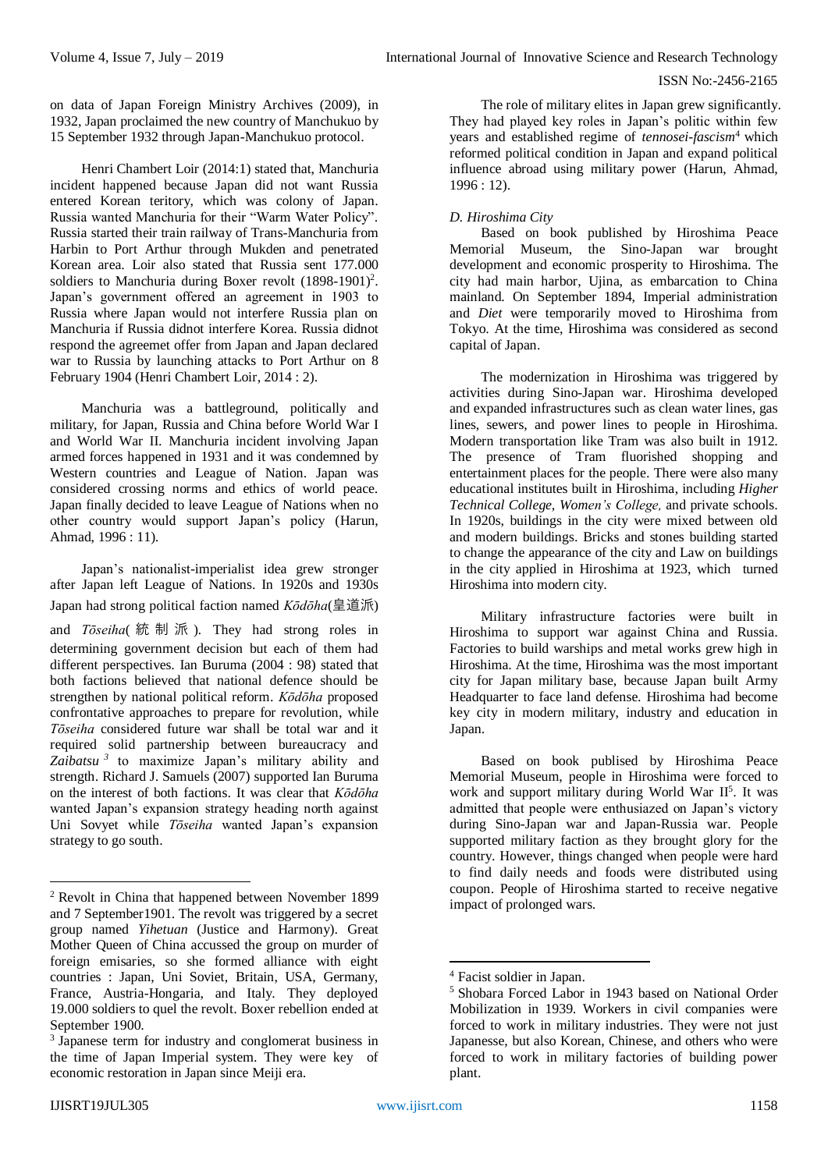on data of Japan Foreign Ministry Archives (2009), in 1932, Japan proclaimed the new country of Manchukuo by 15 September 1932 through Japan-Manchukuo protocol.

Henri Chambert Loir (2014:1) stated that, Manchuria incident happened because Japan did not want Russia entered Korean teritory, which was colony of Japan. Russia wanted Manchuria for their "Warm Water Policy". Russia started their train railway of Trans-Manchuria from Harbin to Port Arthur through Mukden and penetrated Korean area. Loir also stated that Russia sent 177.000 soldiers to Manchuria during Boxer revolt (1898-1901)<sup>2</sup>. Japan's government offered an agreement in 1903 to Russia where Japan would not interfere Russia plan on Manchuria if Russia didnot interfere Korea. Russia didnot respond the agreemet offer from Japan and Japan declared war to Russia by launching attacks to Port Arthur on 8 February 1904 (Henri Chambert Loir, 2014 : 2).

Manchuria was a battleground, politically and military, for Japan, Russia and China before World War I and World War II. Manchuria incident involving Japan armed forces happened in 1931 and it was condemned by Western countries and League of Nation. Japan was considered crossing norms and ethics of world peace. Japan finally decided to leave League of Nations when no other country would support Japan's policy (Harun, Ahmad, 1996 : 11).

Japan's nationalist-imperialist idea grew stronger after Japan left League of Nations. In 1920s and 1930s Japan had strong political faction named *Kōdōha*(皇道派)

and *Tōseiha*( 統制派 )*.* They had strong roles in determining government decision but each of them had different perspectives. Ian Buruma (2004 : 98) stated that both factions believed that national defence should be strengthen by national political reform. *Kōdōha* proposed confrontative approaches to prepare for revolution, while *Tōseiha* considered future war shall be total war and it required solid partnership between bureaucracy and *Zaibatsu <sup>3</sup>* to maximize Japan's military ability and strength. Richard J. Samuels (2007) supported Ian Buruma on the interest of both factions. It was clear that *Kōdōha* wanted Japan's expansion strategy heading north against Uni Sovyet while *Tōseiha* wanted Japan's expansion strategy to go south.

The role of military elites in Japan grew significantly. They had played key roles in Japan's politic within few years and established regime of *tennosei-fascism*<sup>4</sup> which reformed political condition in Japan and expand political influence abroad using military power (Harun, Ahmad, 1996 : 12).

# *D. Hiroshima City*

Based on book published by Hiroshima Peace Memorial Museum, the Sino-Japan war brought development and economic prosperity to Hiroshima. The city had main harbor, Ujina, as embarcation to China mainland. On September 1894, Imperial administration and *Diet* were temporarily moved to Hiroshima from Tokyo. At the time, Hiroshima was considered as second capital of Japan.

The modernization in Hiroshima was triggered by activities during Sino-Japan war. Hiroshima developed and expanded infrastructures such as clean water lines, gas lines, sewers, and power lines to people in Hiroshima. Modern transportation like Tram was also built in 1912. The presence of Tram fluorished shopping and entertainment places for the people. There were also many educational institutes built in Hiroshima, including *Higher Technical College, Women's College,* and private schools. In 1920s, buildings in the city were mixed between old and modern buildings. Bricks and stones building started to change the appearance of the city and Law on buildings in the city applied in Hiroshima at 1923, which turned Hiroshima into modern city.

Military infrastructure factories were built in Hiroshima to support war against China and Russia. Factories to build warships and metal works grew high in Hiroshima. At the time, Hiroshima was the most important city for Japan military base, because Japan built Army Headquarter to face land defense. Hiroshima had become key city in modern military, industry and education in Japan.

Based on book publised by Hiroshima Peace Memorial Museum, people in Hiroshima were forced to work and support military during World War II<sup>5</sup>. It was admitted that people were enthusiazed on Japan's victory during Sino-Japan war and Japan-Russia war. People supported military faction as they brought glory for the country. However, things changed when people were hard to find daily needs and foods were distributed using coupon. People of Hiroshima started to receive negative impact of prolonged wars.

1

1

<sup>2</sup> Revolt in China that happened between November 1899 and 7 September1901. The revolt was triggered by a secret group named *Yihetuan* (Justice and Harmony). Great Mother Queen of China accussed the group on murder of foreign emisaries, so she formed alliance with eight countries : Japan, Uni Soviet, Britain, USA, Germany, France, Austria-Hongaria, and Italy. They deployed 19.000 soldiers to quel the revolt. Boxer rebellion ended at September 1900.

<sup>3</sup> Japanese term for industry and conglomerat business in the time of Japan Imperial system. They were key of economic restoration in Japan since Meiji era.

<sup>4</sup> Facist soldier in Japan.

<sup>5</sup> Shobara Forced Labor in 1943 based on National Order Mobilization in 1939. Workers in civil companies were forced to work in military industries. They were not just Japanesse, but also Korean, Chinese, and others who were forced to work in military factories of building power plant.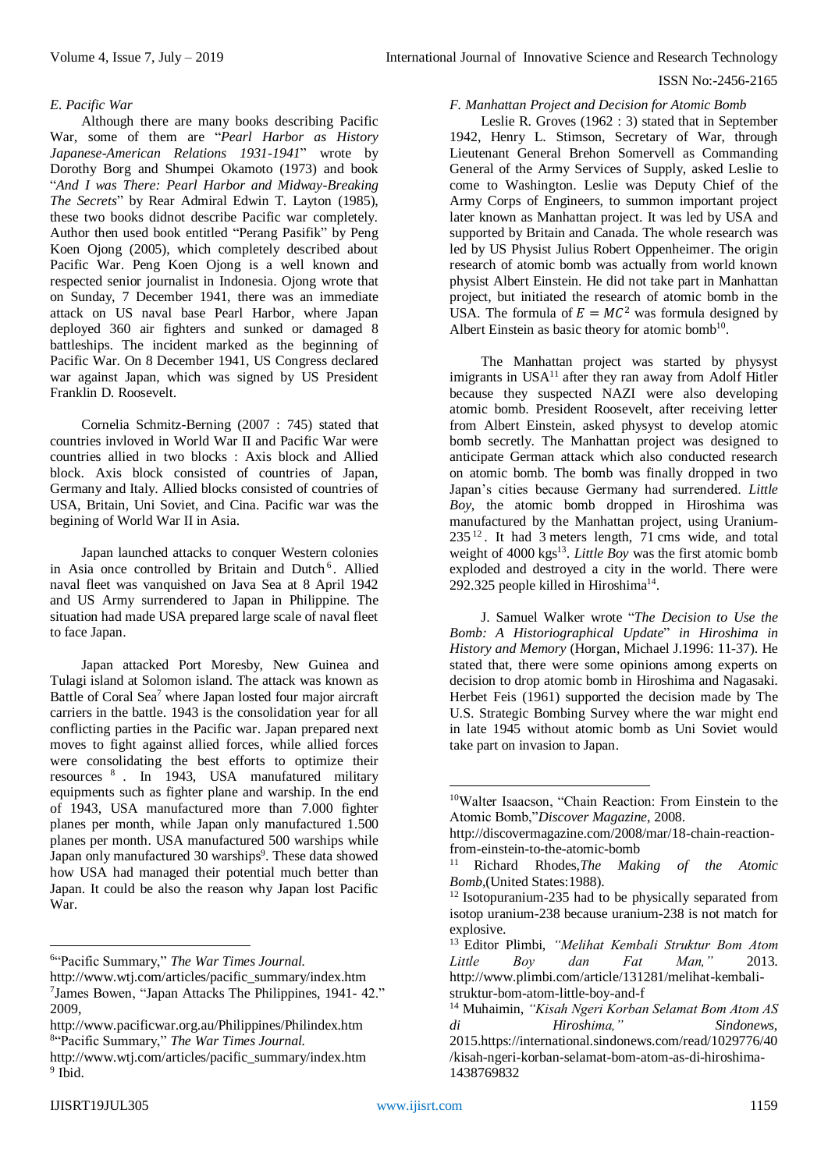# *E. Pacific War*

Although there are many books describing Pacific War, some of them are "*Pearl Harbor as History Japanese-American Relations 1931-1941*" wrote by Dorothy Borg and Shumpei Okamoto (1973) and book "*And I was There: Pearl Harbor and Midway-Breaking The Secrets*" by Rear Admiral Edwin T. Layton (1985), these two books didnot describe Pacific war completely. Author then used book entitled "Perang Pasifik" by Peng Koen Ojong (2005), which completely described about Pacific War. Peng Koen Ojong is a well known and respected senior journalist in Indonesia. Ojong wrote that on Sunday, 7 December 1941, there was an immediate attack on US naval base Pearl Harbor, where Japan deployed 360 air fighters and sunked or damaged 8 battleships. The incident marked as the beginning of Pacific War. On 8 December 1941, US Congress declared war against Japan, which was signed by US President Franklin D. Roosevelt.

Cornelia Schmitz-Berning (2007 : 745) stated that countries invloved in World War II and Pacific War were countries allied in two blocks : Axis block and Allied block. Axis block consisted of countries of Japan, Germany and Italy. Allied blocks consisted of countries of USA, Britain, Uni Soviet, and Cina. Pacific war was the begining of World War II in Asia.

Japan launched attacks to conquer Western colonies in Asia once controlled by Britain and Dutch<sup>6</sup>. Allied naval fleet was vanquished on Java Sea at 8 April 1942 and US Army surrendered to Japan in Philippine. The situation had made USA prepared large scale of naval fleet to face Japan.

Japan attacked Port Moresby, New Guinea and Tulagi island at Solomon island. The attack was known as Battle of Coral Sea<sup>7</sup> where Japan losted four major aircraft carriers in the battle. 1943 is the consolidation year for all conflicting parties in the Pacific war. Japan prepared next moves to fight against allied forces, while allied forces were consolidating the best efforts to optimize their resources <sup>8</sup> . In 1943, USA manufatured military equipments such as fighter plane and warship. In the end of 1943, USA manufactured more than 7.000 fighter planes per month, while Japan only manufactured 1.500 planes per month. USA manufactured 500 warships while Japan only manufactured 30 warships<sup>9</sup>. These data showed how USA had managed their potential much better than Japan. It could be also the reason why Japan lost Pacific War.

1

# *F. Manhattan Project and Decision for Atomic Bomb*

Leslie R. Groves (1962 : 3) stated that in September 1942, Henry L. Stimson, Secretary of War, through Lieutenant General Brehon Somervell as Commanding General of the Army Services of Supply, asked Leslie to come to Washington. Leslie was Deputy Chief of the Army Corps of Engineers, to summon important project later known as Manhattan project. It was led by USA and supported by Britain and Canada. The whole research was led by US Physist Julius Robert Oppenheimer. The origin research of atomic bomb was actually from world known physist Albert Einstein. He did not take part in Manhattan project, but initiated the research of atomic bomb in the USA. The formula of  $E = MC^2$  was formula designed by Albert Einstein as basic theory for atomic bomb<sup>10</sup>.

The Manhattan project was started by physyst imigrants in USA<sup>11</sup> after they ran away from Adolf Hitler because they suspected NAZI were also developing atomic bomb. President Roosevelt, after receiving letter from Albert Einstein, asked physyst to develop atomic bomb secretly. The Manhattan project was designed to anticipate German attack which also conducted research on atomic bomb. The bomb was finally dropped in two Japan's cities because Germany had surrendered. *Little Boy*, the atomic bomb dropped in Hiroshima was manufactured by the Manhattan project, using Uranium-235 <sup>12</sup> . It had 3 meters length, 71 cms wide, and total weight of 4000 kgs 13 . *Little Boy* was the first atomic bomb exploded and destroyed a city in the world. There were 292.325 people killed in Hiroshima<sup>14</sup>.

J. Samuel Walker wrote "*The Decision to Use the Bomb: A Historiographical Update*" *in Hiroshima in History and Memory* (Horgan, Michael J.1996: 11-37). He stated that, there were some opinions among experts on decision to drop atomic bomb in Hiroshima and Nagasaki. Herbet Feis (1961) supported the decision made by The U.S. Strategic Bombing Survey where the war might end in late 1945 without atomic bomb as Uni Soviet would take part on invasion to Japan.

**.** 

<sup>6</sup> "Pacific Summary," *The War Times Journal.*

http://www.wtj.com/articles/pacific\_summary/index.htm 7 James Bowen, "Japan Attacks The Philippines, 1941- 42." 2009,

http://www.pacificwar.org.au/Philippines/Philindex.htm 8 "Pacific Summary," *The War Times Journal.*

http://www.wtj.com/articles/pacific\_summary/index.htm <sup>9</sup> Ibid.

<sup>10</sup>Walter Isaacson, "Chain Reaction: From Einstein to the Atomic Bomb,"*Discover Magazine,* 2008.

http://discovermagazine.com/2008/mar/18-chain-reactionfrom-einstein-to-the-atomic-bomb

<sup>11</sup> Richard Rhodes,*The Making of the Atomic Bomb*,(United States:1988).

<sup>&</sup>lt;sup>12</sup> Isotopuranium-235 had to be physically separated from isotop uranium-238 because uranium-238 is not match for explosive.

<sup>13</sup> Editor Plimbi, *"Melihat Kembali Struktur Bom Atom Little Boy dan Fat Man,"* 2013. http://www.plimbi.com/article/131281/melihat-kembalistruktur-bom-atom-little-boy-and-f

<sup>14</sup> Muhaimin, *"Kisah Ngeri Korban Selamat Bom Atom AS di Hiroshima," Sindonews*, 2015.https://international.sindonews.com/read/1029776/40 /kisah-ngeri-korban-selamat-bom-atom-as-di-hiroshima-1438769832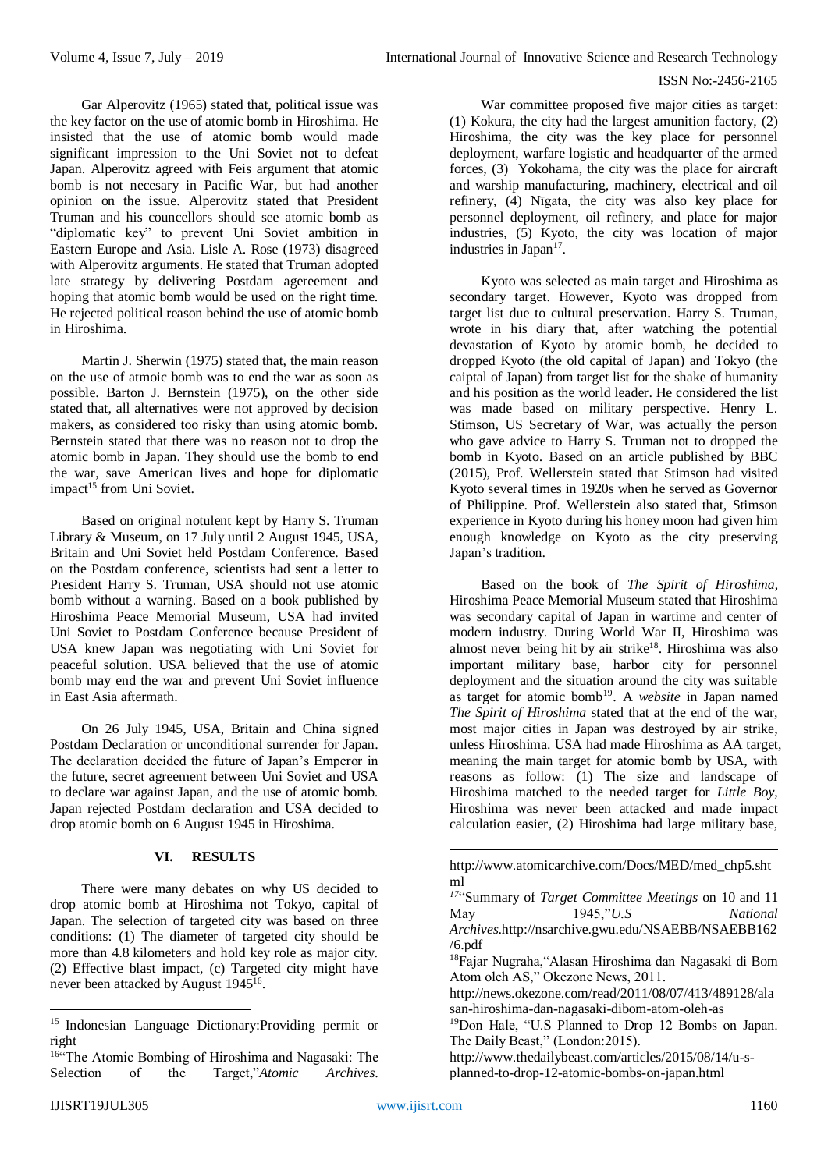Gar Alperovitz (1965) stated that, political issue was the key factor on the use of atomic bomb in Hiroshima. He insisted that the use of atomic bomb would made significant impression to the Uni Soviet not to defeat Japan. Alperovitz agreed with Feis argument that atomic bomb is not necesary in Pacific War, but had another opinion on the issue. Alperovitz stated that President Truman and his councellors should see atomic bomb as "diplomatic key" to prevent Uni Soviet ambition in Eastern Europe and Asia. Lisle A. Rose (1973) disagreed with Alperovitz arguments. He stated that Truman adopted late strategy by delivering Postdam agereement and hoping that atomic bomb would be used on the right time. He rejected political reason behind the use of atomic bomb in Hiroshima.

Martin J. Sherwin (1975) stated that, the main reason on the use of atmoic bomb was to end the war as soon as possible. Barton J. Bernstein (1975), on the other side stated that, all alternatives were not approved by decision makers, as considered too risky than using atomic bomb. Bernstein stated that there was no reason not to drop the atomic bomb in Japan. They should use the bomb to end the war, save American lives and hope for diplomatic impact<sup>15</sup> from Uni Soviet.

Based on original notulent kept by Harry S. Truman Library & Museum, on 17 July until 2 August 1945, USA, Britain and Uni Soviet held Postdam Conference. Based on the Postdam conference, scientists had sent a letter to President Harry S. Truman, USA should not use atomic bomb without a warning. Based on a book published by Hiroshima Peace Memorial Museum, USA had invited Uni Soviet to Postdam Conference because President of USA knew Japan was negotiating with Uni Soviet for peaceful solution. USA believed that the use of atomic bomb may end the war and prevent Uni Soviet influence in East Asia aftermath.

On 26 July 1945, USA, Britain and China signed Postdam Declaration or unconditional surrender for Japan. The declaration decided the future of Japan's Emperor in the future, secret agreement between Uni Soviet and USA to declare war against Japan, and the use of atomic bomb. Japan rejected Postdam declaration and USA decided to drop atomic bomb on 6 August 1945 in Hiroshima.

# **VI. RESULTS**

There were many debates on why US decided to drop atomic bomb at Hiroshima not Tokyo, capital of Japan. The selection of targeted city was based on three conditions: (1) The diameter of targeted city should be more than 4.8 kilometers and hold key role as major city. (2) Effective blast impact, (c) Targeted city might have never been attacked by August 1945<sup>16</sup>.

War committee proposed five major cities as target: (1) Kokura, the city had the largest amunition factory, (2) Hiroshima, the city was the key place for personnel deployment, warfare logistic and headquarter of the armed forces, (3) Yokohama, the city was the place for aircraft and warship manufacturing, machinery, electrical and oil refinery, (4) Nīgata, the city was also key place for personnel deployment, oil refinery, and place for major industries, (5) Kyoto, the city was location of major industries in Japan<sup>17</sup>.

Kyoto was selected as main target and Hiroshima as secondary target. However, Kyoto was dropped from target list due to cultural preservation. Harry S. Truman, wrote in his diary that, after watching the potential devastation of Kyoto by atomic bomb, he decided to dropped Kyoto (the old capital of Japan) and Tokyo (the caiptal of Japan) from target list for the shake of humanity and his position as the world leader. He considered the list was made based on military perspective. Henry L. Stimson, US Secretary of War, was actually the person who gave advice to Harry S. Truman not to dropped the bomb in Kyoto. Based on an article published by BBC (2015), Prof. Wellerstein stated that Stimson had visited Kyoto several times in 1920s when he served as Governor of Philippine. Prof. Wellerstein also stated that, Stimson experience in Kyoto during his honey moon had given him enough knowledge on Kyoto as the city preserving Japan's tradition.

Based on the book of *The Spirit of Hiroshima*, Hiroshima Peace Memorial Museum stated that Hiroshima was secondary capital of Japan in wartime and center of modern industry. During World War II, Hiroshima was almost never being hit by air strike<sup>18</sup>. Hiroshima was also important military base, harbor city for personnel deployment and the situation around the city was suitable as target for atomic bomb<sup>19</sup>. A *website* in Japan named *The Spirit of Hiroshima* stated that at the end of the war, most major cities in Japan was destroyed by air strike, unless Hiroshima. USA had made Hiroshima as AA target, meaning the main target for atomic bomb by USA, with reasons as follow: (1) The size and landscape of Hiroshima matched to the needed target for *Little Boy*, Hiroshima was never been attacked and made impact calculation easier, (2) Hiroshima had large military base,

1

1

<sup>15</sup> Indonesian Language Dictionary:Providing permit or right

<sup>16&</sup>quot;The Atomic Bombing of Hiroshima and Nagasaki: The Selection of the Target,"*Atomic Archives*.

http://www.atomicarchive.com/Docs/MED/med\_chp5.sht ml

*<sup>17</sup>* "Summary of *Target Committee Meetings* on 10 and 11 May 1945,"*U.S National Archives*.http://nsarchive.gwu.edu/NSAEBB/NSAEBB162 /6.pdf <sup>18</sup>Fajar Nugraha,"Alasan Hiroshima dan Nagasaki di Bom Atom oleh AS," Okezone News, 2011. http://news.okezone.com/read/2011/08/07/413/489128/ala

san-hiroshima-dan-nagasaki-dibom-atom-oleh-as

<sup>19</sup>Don Hale, "U.S Planned to Drop 12 Bombs on Japan. The Daily Beast," (London:2015).

http://www.thedailybeast.com/articles/2015/08/14/u-splanned-to-drop-12-atomic-bombs-on-japan.html